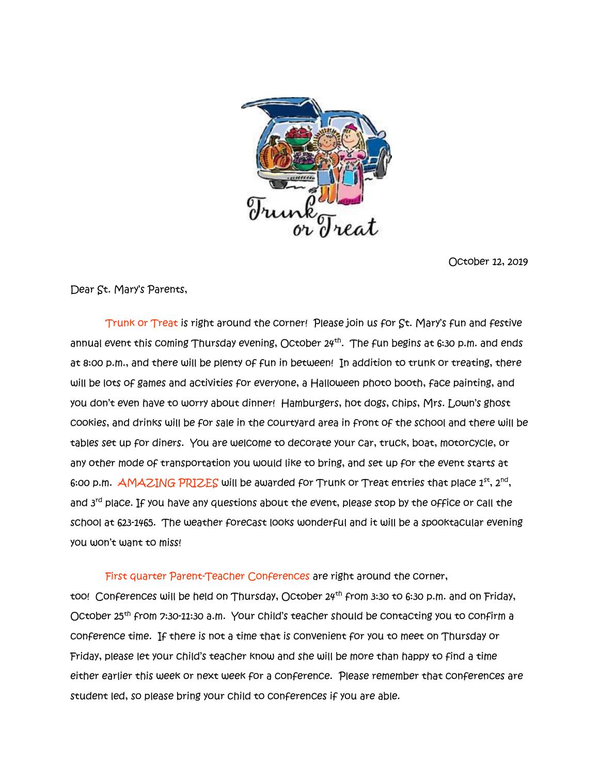

October 12, 2019

Dear St. Mary's Parents,

 Trunk or Treat is right around the corner! Please join us for St. Mary's fun and festive annual event this coming Thursday evening, October 24<sup>th</sup>. The fun begins at 6:30 p.m. and ends at 8:00 p.m., and there will be plenty of fun in between! In addition to trunk or treating, there will be lots of games and activities for everyone, a Halloween photo booth, face painting, and you don't even have to worry about dinner! Hamburgers, hot dogs, chips, Mrs. Lown's ghost cookies, and drinks will be for sale in the courtyard area in front of the school and there will be tables set up for diners. You are welcome to decorate your car, truck, boat, motorcycle, or any other mode of transportation you would like to bring, and set up for the event starts at 6:00 p.m.  $\mathsf{\Delta MAXING\ PRIZES}$  will be awarded for Trunk or Treat entries that place  $1^\text{st}$ ,  $2^\text{nd}$ , and 3<sup>rd</sup> place. If you have any questions about the event, please stop by the office or call the school at 623-1465. The weather forecast looks wonderful and it will be a spooktacular evening you won't want to miss!

First quarter Parent-Teacher Conferences are right around the corner,

too! Conferences will be held on Thursday, October 24<sup>th</sup> from 3:30 to 6:30 p.m. and on Friday, October 25<sup>th</sup> from 7:30-11:30 a.m. Your child's teacher should be contacting you to confirm a conference time. If there is not a time that is convenient for you to meet on Thursday or Friday, please let your child's teacher know and she will be more than happy to find a time either earlier this week or next week for a conference. Please remember that conferences are student led, so please bring your child to conferences if you are able.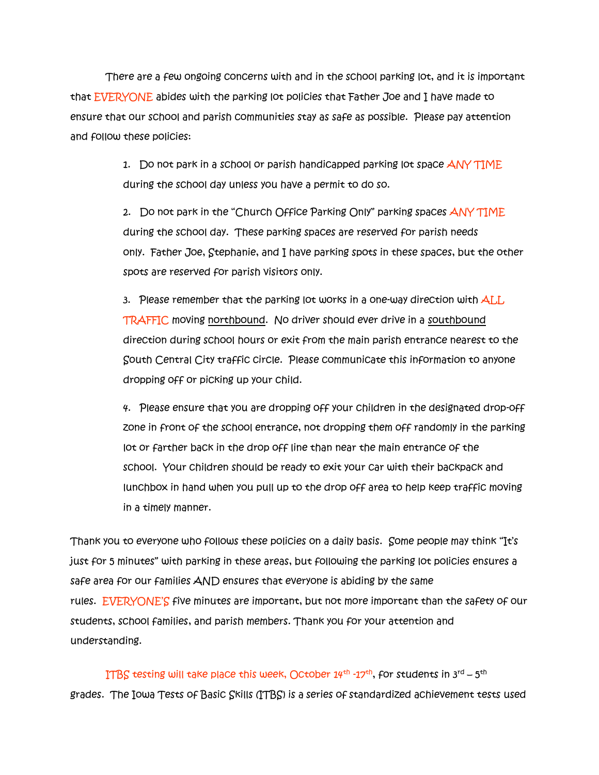There are a few ongoing concerns with and in the school parking lot, and it is important that EVERYONE abides with the parking lot policies that Father Joe and I have made to ensure that our school and parish communities stay as safe as possible. Please pay attention and follow these policies:

> 1. Do not park in a school or parish handicapped parking lot space ANY TIME during the school day unless you have a permit to do so.

2. Do not park in the "Church Office Parking Only" parking spaces ANY TIME during the school day. These parking spaces are reserved for parish needs only. Father Joe, Stephanie, and I have parking spots in these spaces, but the other spots are reserved for parish visitors only.

3. Please remember that the parking lot works in a one-way direction with ALL TRAFFIC moving northbound. No driver should ever drive in a southbound direction during school hours or exit from the main parish entrance nearest to the South Central City traffic circle. Please communicate this information to anyone dropping off or picking up your child.

4. Please ensure that you are dropping off your children in the designated drop-off zone in front of the school entrance, not dropping them off randomly in the parking lot or farther back in the drop off line than near the main entrance of the school. Your children should be ready to exit your car with their backpack and lunchbox in hand when you pull up to the drop off area to help keep traffic moving in a timely manner.

Thank you to everyone who follows these policies on a daily basis. Some people may think "It's just for 5 minutes" with parking in these areas, but following the parking lot policies ensures a safe area for our families AND ensures that everyone is abiding by the same rules. EVERYONE'S five minutes are important, but not more important than the safety of our students, school families, and parish members. Thank you for your attention and understanding.

<code>ITBS</code> testing will take place this week, October 14<sup>th</sup> -17<sup>th</sup>, for students in 3<sup>rd</sup> – 5<sup>th</sup> grades. The Iowa Tests of Basic Skills (ITBS) is a series of standardized achievement tests used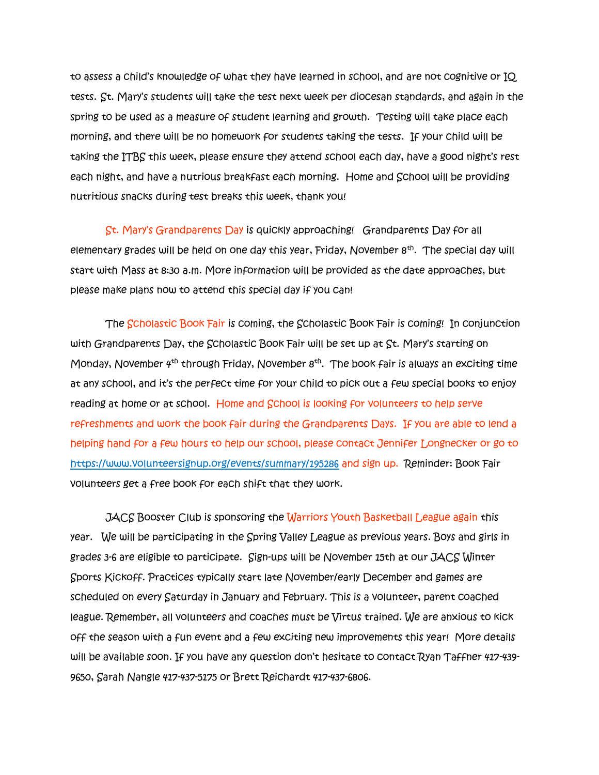to assess a child's knowledge of what they have learned in school, and are not cognitive or IQ tests. St. Mary's students will take the test next week per diocesan standards, and again in the spring to be used as a measure of student learning and growth. Testing will take place each morning, and there will be no homework for students taking the tests. If your child will be taking the ITBS this week, please ensure they attend school each day, have a good night's rest each night, and have a nutrious breakfast each morning. Home and School will be providing nutritious snacks during test breaks this week, thank you!

 St. Mary's Grandparents Day is quickly approaching! Grandparents Day for all elementary grades will be held on one day this year, Friday, November 8<sup>th</sup>. The special day will start with Mass at 8:30 a.m. More information will be provided as the date approaches, but please make plans now to attend this special day if you can!

 The Scholastic Book Fair is coming, the Scholastic Book Fair is coming! In conjunction with Grandparents Day, the Scholastic Book Fair will be set up at St. Mary's starting on Monday, November  $4^{th}$  through Friday, November  $8^{th}$ . The book fair is always an exciting time at any school, and it's the perfect time for your child to pick out a few special books to enjoy reading at home or at school. Home and School is looking for volunteers to help serve refreshments and work the book fair during the Grandparents Days. If you are able to lend a helping hand for a few hours to help our school, please contact Jennifer Longnecker or go to <https://www.volunteersignup.org/events/summary/195286> and sign up. Reminder: Book Fair volunteers get a free book for each shift that they work.

**JACS Booster Club is sponsoring the Warriors Youth Basketball League again this** year. We will be participating in the Spring Valley League as previous years. Boys and girls in grades 3-6 are eligible to participate. Sign-ups will be November 15th at our JACS Winter Sports Kickoff. Practices typically start late November/early December and games are scheduled on every Saturday in January and February. This is a volunteer, parent coached league. Remember, all volunteers and coaches must be Virtus trained. We are anxious to kick off the season with a fun event and a few exciting new improvements this year! More details will be available soon. If you have any question don't hesitate to contact Ryan Taffner 417-439- 9650, Sarah Nangle 417-437-5175 or Brett Reichardt 417-437-6806.